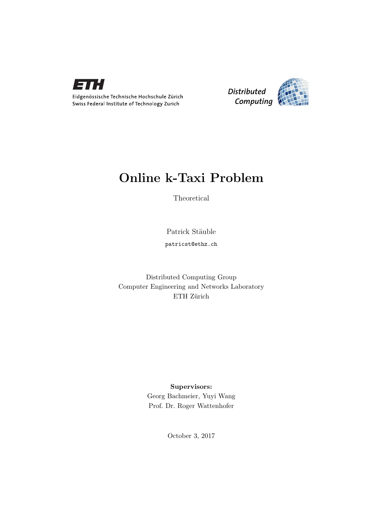



## Online k-Taxi Problem

Theoretical

Patrick Stäuble patricst@ethz.ch

Distributed Computing Group Computer Engineering and Networks Laboratory ETH Zürich

## Supervisors:

Georg Bachmeier, Yuyi Wang Prof. Dr. Roger Wattenhofer

October 3, 2017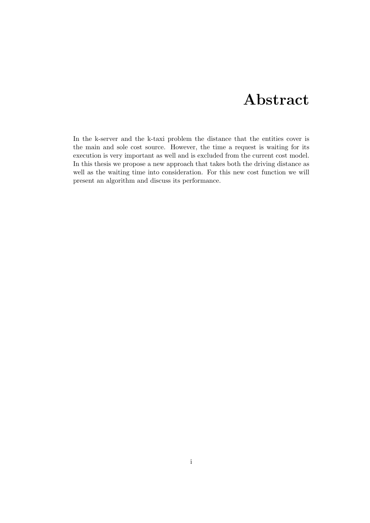# Abstract

<span id="page-1-0"></span>In the k-server and the k-taxi problem the distance that the entities cover is the main and sole cost source. However, the time a request is waiting for its execution is very important as well and is excluded from the current cost model. In this thesis we propose a new approach that takes both the driving distance as well as the waiting time into consideration. For this new cost function we will present an algorithm and discuss its performance.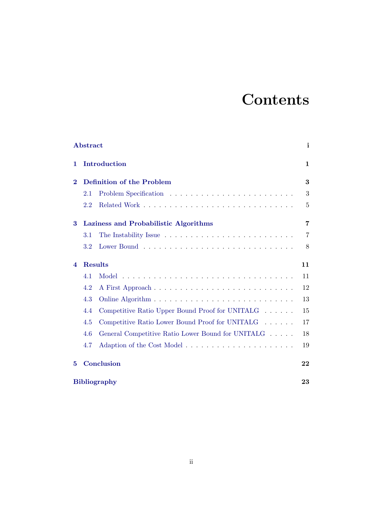# **Contents**

| Abstract |                                           |                                                   | i      |
|----------|-------------------------------------------|---------------------------------------------------|--------|
| 1        | Introduction<br>Definition of the Problem |                                                   | 1<br>3 |
| $\bf{2}$ |                                           |                                                   |        |
|          | 2.1                                       |                                                   | 3      |
|          | 2.2                                       |                                                   | 5      |
| 3        | Laziness and Probabilistic Algorithms     |                                                   | 7      |
|          | 3.1                                       |                                                   | 7      |
|          | 3.2                                       |                                                   | 8      |
| 4        | <b>Results</b>                            |                                                   | 11     |
|          | 4.1                                       | Model                                             | 11     |
|          | 4.2                                       | A First Approach                                  | 12     |
|          | 4.3                                       |                                                   | 13     |
|          | 4.4                                       | Competitive Ratio Upper Bound Proof for UNITALG   | 15     |
|          | 4.5                                       | Competitive Ratio Lower Bound Proof for UNITALG   | 17     |
|          | 4.6                                       | General Competitive Ratio Lower Bound for UNITALG | 18     |
|          | 4.7                                       |                                                   | 19     |
| 5        |                                           | Conclusion                                        | 22     |
|          | <b>Bibliography</b>                       |                                                   |        |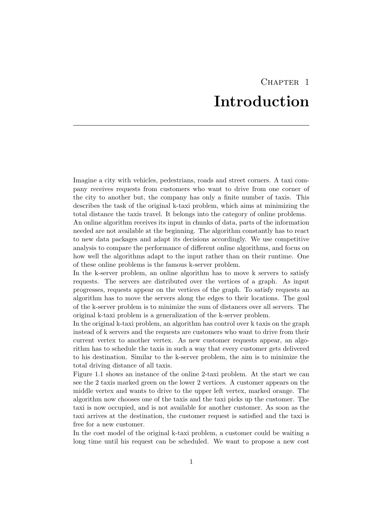## CHAPTER<sub>1</sub> Introduction

<span id="page-3-0"></span>Imagine a city with vehicles, pedestrians, roads and street corners. A taxi company receives requests from customers who want to drive from one corner of the city to another but, the company has only a finite number of taxis. This describes the task of the original k-taxi problem, which aims at minimizing the total distance the taxis travel. It belongs into the category of online problems.

An online algorithm receives its input in chunks of data, parts of the information needed are not available at the beginning. The algorithm constantly has to react to new data packages and adapt its decisions accordingly. We use competitive analysis to compare the performance of different online algorithms, and focus on how well the algorithms adapt to the input rather than on their runtime. One of these online problems is the famous k-server problem.

In the k-server problem, an online algorithm has to move k servers to satisfy requests. The servers are distributed over the vertices of a graph. As input progresses, requests appear on the vertices of the graph. To satisfy requests an algorithm has to move the servers along the edges to their locations. The goal of the k-server problem is to minimize the sum of distances over all servers. The original k-taxi problem is a generalization of the k-server problem.

In the original k-taxi problem, an algorithm has control over k taxis on the graph instead of k servers and the requests are customers who want to drive from their current vertex to another vertex. As new customer requests appear, an algorithm has to schedule the taxis in such a way that every customer gets delivered to his destination. Similar to the k-server problem, the aim is to minimize the total driving distance of all taxis.

Figure 1.1 shows an instance of the online 2-taxi problem. At the start we can see the 2 taxis marked green on the lower 2 vertices. A customer appears on the middle vertex and wants to drive to the upper left vertex, marked orange. The algorithm now chooses one of the taxis and the taxi picks up the customer. The taxi is now occupied, and is not available for another customer. As soon as the taxi arrives at the destination, the customer request is satisfied and the taxi is free for a new customer.

In the cost model of the original k-taxi problem, a customer could be waiting a long time until his request can be scheduled. We want to propose a new cost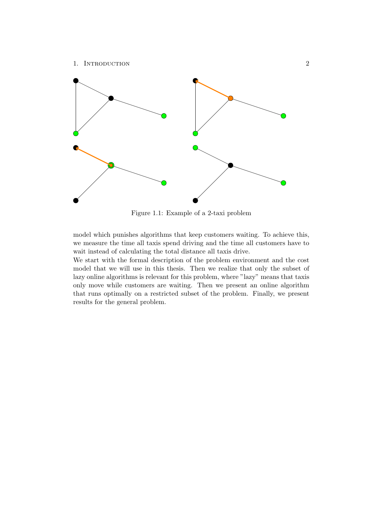### 1. INTRODUCTION 2



Figure 1.1: Example of a 2-taxi problem

model which punishes algorithms that keep customers waiting. To achieve this, we measure the time all taxis spend driving and the time all customers have to wait instead of calculating the total distance all taxis drive.

We start with the formal description of the problem environment and the cost model that we will use in this thesis. Then we realize that only the subset of lazy online algorithms is relevant for this problem, where "lazy" means that taxis only move while customers are waiting. Then we present an online algorithm that runs optimally on a restricted subset of the problem. Finally, we present results for the general problem.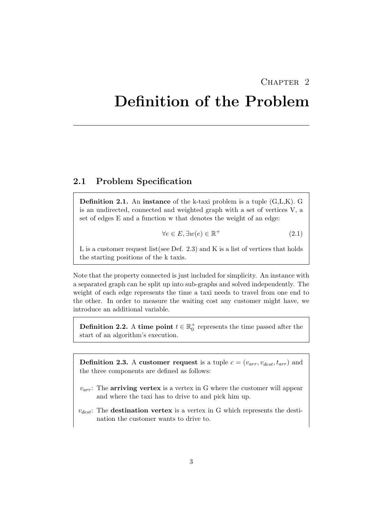### CHAPTER<sub>2</sub>

# <span id="page-5-0"></span>Definition of the Problem

### <span id="page-5-1"></span>2.1 Problem Specification

**Definition 2.1.** An instance of the k-taxi problem is a tuple  $(G, L, K)$ . G is an undirected, connected and weighted graph with a set of vertices V, a set of edges E and a function w that denotes the weight of an edge:

$$
\forall e \in E, \exists w(e) \in \mathbb{R}^+ \tag{2.1}
$$

L is a customer request list(see Def. 2.3) and K is a list of vertices that holds the starting positions of the k taxis.

Note that the property connected is just included for simplicity. An instance with a separated graph can be split up into sub-graphs and solved independently. The weight of each edge represents the time a taxi needs to travel from one end to the other. In order to measure the waiting cost any customer might have, we introduce an additional variable.

**Definition 2.2.** A time point  $t \in \mathbb{R}_0^+$  represents the time passed after the start of an algorithm's execution.

**Definition 2.3.** A customer request is a tuple  $c = (v_{arr}, v_{dest}, t_{arr})$  and the three components are defined as follows:

- $v_{arr}$ : The **arriving vertex** is a vertex in G where the customer will appear and where the taxi has to drive to and pick him up.
- $v_{dest}$ : The destination vertex is a vertex in G which represents the destination the customer wants to drive to.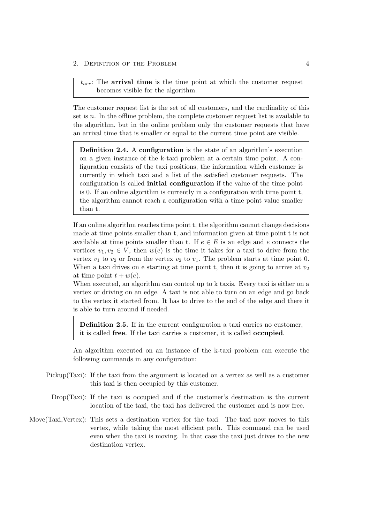$t_{arr}$ : The arrival time is the time point at which the customer request becomes visible for the algorithm.

The customer request list is the set of all customers, and the cardinality of this set is  $n$ . In the offline problem, the complete customer request list is available to the algorithm, but in the online problem only the customer requests that have an arrival time that is smaller or equal to the current time point are visible.

Definition 2.4. A configuration is the state of an algorithm's execution on a given instance of the k-taxi problem at a certain time point. A configuration consists of the taxi positions, the information which customer is currently in which taxi and a list of the satisfied customer requests. The configuration is called initial configuration if the value of the time point is 0. If an online algorithm is currently in a configuration with time point t, the algorithm cannot reach a configuration with a time point value smaller than t.

If an online algorithm reaches time point t, the algorithm cannot change decisions made at time points smaller than t, and information given at time point t is not available at time points smaller than t. If  $e \in E$  is an edge and e connects the vertices  $v_1, v_2 \in V$ , then  $w(e)$  is the time it takes for a taxi to drive from the vertex  $v_1$  to  $v_2$  or from the vertex  $v_2$  to  $v_1$ . The problem starts at time point 0. When a taxi drives on e starting at time point t, then it is going to arrive at  $v_2$ at time point  $t + w(e)$ .

When executed, an algorithm can control up to k taxis. Every taxi is either on a vertex or driving on an edge. A taxi is not able to turn on an edge and go back to the vertex it started from. It has to drive to the end of the edge and there it is able to turn around if needed.

Definition 2.5. If in the current configuration a taxi carries no customer, it is called free. If the taxi carries a customer, it is called occupied.

An algorithm executed on an instance of the k-taxi problem can execute the following commands in any configuration:

- Pickup(Taxi): If the taxi from the argument is located on a vertex as well as a customer this taxi is then occupied by this customer.
	- Drop(Taxi): If the taxi is occupied and if the customer's destination is the current location of the taxi, the taxi has delivered the customer and is now free.
- Move(Taxi,Vertex): This sets a destination vertex for the taxi. The taxi now moves to this vertex, while taking the most efficient path. This command can be used even when the taxi is moving. In that case the taxi just drives to the new destination vertex.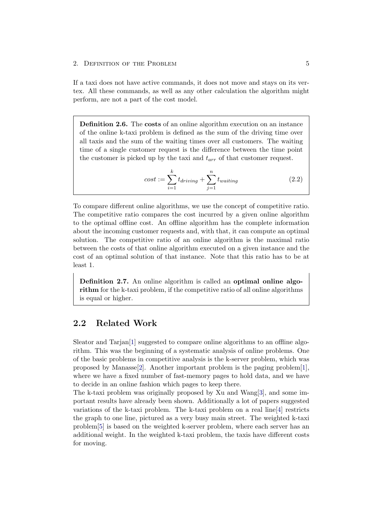#### 2. DEFINITION OF THE PROBLEM 5

If a taxi does not have active commands, it does not move and stays on its vertex. All these commands, as well as any other calculation the algorithm might perform, are not a part of the cost model.

Definition 2.6. The costs of an online algorithm execution on an instance of the online k-taxi problem is defined as the sum of the driving time over all taxis and the sum of the waiting times over all customers. The waiting time of a single customer request is the difference between the time point the customer is picked up by the taxi and  $t_{arr}$  of that customer request.

$$
cost := \sum_{i=1}^{k} t_{driving} + \sum_{j=1}^{n} t_{waiting}
$$
\n(2.2)

To compare different online algorithms, we use the concept of competitive ratio. The competitive ratio compares the cost incurred by a given online algorithm to the optimal offline cost. An offline algorithm has the complete information about the incoming customer requests and, with that, it can compute an optimal solution. The competitive ratio of an online algorithm is the maximal ratio between the costs of that online algorithm executed on a given instance and the cost of an optimal solution of that instance. Note that this ratio has to be at least 1.

Definition 2.7. An online algorithm is called an optimal online algorithm for the k-taxi problem, if the competitive ratio of all online algorithms is equal or higher.

## <span id="page-7-0"></span>2.2 Related Work

Sleator and Tarjan[\[1\]](#page-25-1) suggested to compare online algorithms to an offline algorithm. This was the beginning of a systematic analysis of online problems. One of the basic problems in competitive analysis is the k-server problem, which was proposed by Manasse<sup>[\[2\]](#page-25-2)</sup>. Another important problem is the paging problem [\[1\]](#page-25-1), where we have a fixed number of fast-memory pages to hold data, and we have to decide in an online fashion which pages to keep there.

The k-taxi problem was originally proposed by Xu and Wang[\[3\]](#page-25-3), and some important results have already been shown. Additionally a lot of papers suggested variations of the k-taxi problem. The k-taxi problem on a real line[\[4\]](#page-25-4) restricts the graph to one line, pictured as a very busy main street. The weighted k-taxi problem[\[5\]](#page-25-5) is based on the weighted k-server problem, where each server has an additional weight. In the weighted k-taxi problem, the taxis have different costs for moving.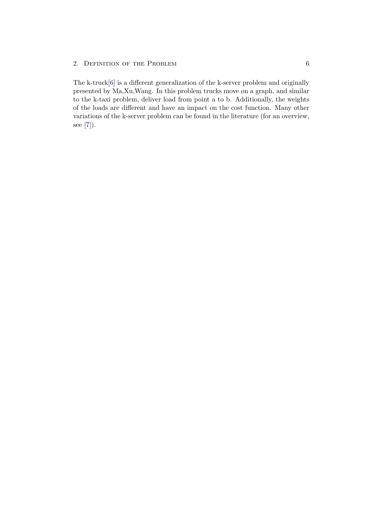### 2. DEFINITION OF THE PROBLEM 6

The k-truck[\[6\]](#page-25-6) is a different generalization of the k-server problem and originally presented by Ma,Xu,Wang. In this problem trucks move on a graph, and similar to the k-taxi problem, deliver load from point a to b. Additionally, the weights of the loads are different and have an impact on the cost function. Many other variations of the k-server problem can be found in the literature (for an overview, see [\[7\]](#page-25-7)).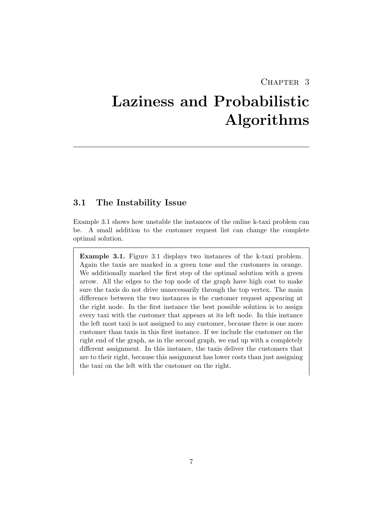## CHAPTER<sub>3</sub>

# <span id="page-9-0"></span>Laziness and Probabilistic Algorithms

### <span id="page-9-1"></span>3.1 The Instability Issue

Example 3.1 shows how unstable the instances of the online k-taxi problem can be. A small addition to the customer request list can change the complete optimal solution.

Example 3.1. Figure 3.1 displays two instances of the k-taxi problem. Again the taxis are marked in a green tone and the customers in orange. We additionally marked the first step of the optimal solution with a green arrow. All the edges to the top node of the graph have high cost to make sure the taxis do not drive unnecessarily through the top vertex. The main difference between the two instances is the customer request appearing at the right node. In the first instance the best possible solution is to assign every taxi with the customer that appears at its left node. In this instance the left most taxi is not assigned to any customer, because there is one more customer than taxis in this first instance. If we include the customer on the right end of the graph, as in the second graph, we end up with a completely different assignment. In this instance, the taxis deliver the customers that are to their right, because this assignment has lower costs than just assigning the taxi on the left with the customer on the right.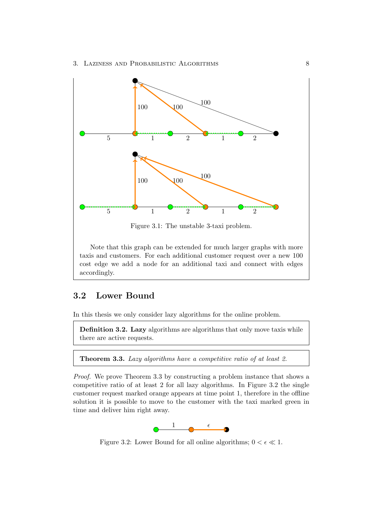

Figure 3.1: The unstable 3-taxi problem.

Note that this graph can be extended for much larger graphs with more taxis and customers. For each additional customer request over a new 100 cost edge we add a node for an additional taxi and connect with edges accordingly.

### <span id="page-10-0"></span>3.2 Lower Bound

In this thesis we only consider lazy algorithms for the online problem.

Definition 3.2. Lazy algorithms are algorithms that only move taxis while there are active requests.

Theorem 3.3. Lazy algorithms have a competitive ratio of at least 2.

Proof. We prove Theorem 3.3 by constructing a problem instance that shows a competitive ratio of at least 2 for all lazy algorithms. In Figure 3.2 the single customer request marked orange appears at time point 1, therefore in the offline solution it is possible to move to the customer with the taxi marked green in time and deliver him right away.



Figure 3.2: Lower Bound for all online algorithms;  $0 < \epsilon \ll 1$ .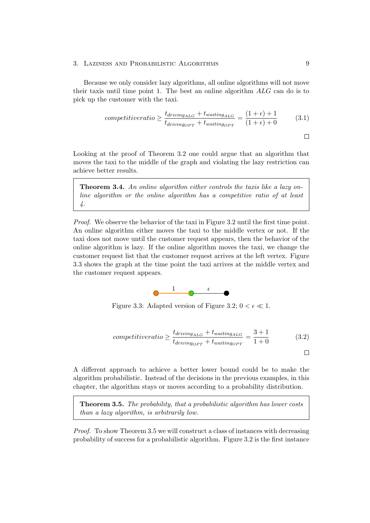### 3. LAZINESS AND PROBABILISTIC ALGORITHMS 9

Because we only consider lazy algorithms, all online algorithms will not move their taxis until time point 1. The best an online algorithm ALG can do is to pick up the customer with the taxi.

$$
competitive ratio \geq \frac{t_{driving_{ALG}} + t_{waiting_{ALG}}}{t_{driving_{OPT}} + t_{waiting_{OPT}}} = \frac{(1 + \epsilon) + 1}{(1 + \epsilon) + 0}
$$
(3.1)

 $\Box$ 

Looking at the proof of Theorem 3.2 one could argue that an algorithm that moves the taxi to the middle of the graph and violating the lazy restriction can achieve better results.

Theorem 3.4. An online algorithm either controls the taxis like a lazy online algorithm or the online algorithm has a competitive ratio of at least 4.

Proof. We observe the behavior of the taxi in Figure 3.2 until the first time point. An online algorithm either moves the taxi to the middle vertex or not. If the taxi does not move until the customer request appears, then the behavior of the online algorithm is lazy. If the online algorithm moves the taxi, we change the customer request list that the customer request arrives at the left vertex. Figure 3.3 shows the graph at the time point the taxi arrives at the middle vertex and the customer request appears.



Figure 3.3: Adapted version of Figure 3.2;  $0 < \epsilon \ll 1$ .

$$
competitive ratio \geq \frac{t_{driving_{ALG}} + t_{waiting_{ALG}}}{t_{driving_{OPT}} + t_{waiting_{OPT}}} = \frac{3+1}{1+0}
$$
(3.2)

A different approach to achieve a better lower bound could be to make the algorithm probabilistic. Instead of the decisions in the previous examples, in this chapter, the algorithm stays or moves according to a probability distribution.

Theorem 3.5. The probability, that a probabilistic algorithm has lower costs than a lazy algorithm, is arbitrarily low.

Proof. To show Theorem 3.5 we will construct a class of instances with decreasing probability of success for a probabilistic algorithm. Figure 3.2 is the first instance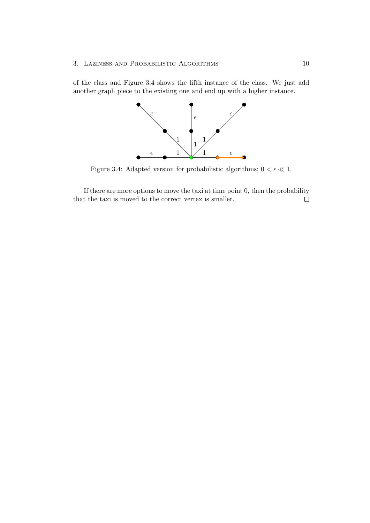### 3. Laziness and Probabilistic Algorithms 10

of the class and Figure 3.4 shows the fifth instance of the class. We just add another graph piece to the existing one and end up with a higher instance.



Figure 3.4: Adapted version for probabilistic algorithms;  $0 < \epsilon \ll 1$ .

If there are more options to move the taxi at time point 0, then the probability that the taxi is moved to the correct vertex is smaller. $\Box$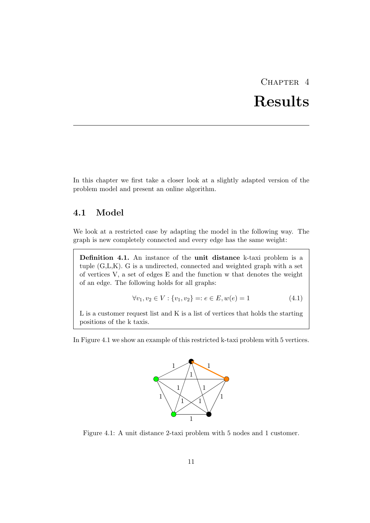# CHAPTER<sub>4</sub> Results

<span id="page-13-0"></span>In this chapter we first take a closer look at a slightly adapted version of the problem model and present an online algorithm.

## <span id="page-13-1"></span>4.1 Model

We look at a restricted case by adapting the model in the following way. The graph is new completely connected and every edge has the same weight:

Definition 4.1. An instance of the unit distance k-taxi problem is a tuple (G,L,K). G is a undirected, connected and weighted graph with a set of vertices V, a set of edges E and the function w that denotes the weight of an edge. The following holds for all graphs:

$$
\forall v_1, v_2 \in V : \{v_1, v_2\} =: e \in E, w(e) = 1 \tag{4.1}
$$

L is a customer request list and K is a list of vertices that holds the starting positions of the k taxis.

In Figure 4.1 we show an example of this restricted k-taxi problem with 5 vertices.



Figure 4.1: A unit distance 2-taxi problem with 5 nodes and 1 customer.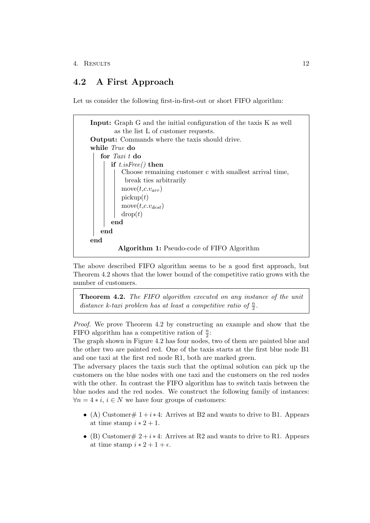## <span id="page-14-0"></span>4.2 A First Approach

Let us consider the following first-in-first-out or short FIFO algorithm:

```
Input: Graph G and the initial configuration of the taxis K as well
        as the list L of customer requests.
Output: Commands where the taxis should drive.
while True do
   for Taxi t do
      if t.isFree() then
          Choose remaining customer c with smallest arrival time,
           break ties arbitrarily
          move(t, c.v_{arr})\text{pickup}(t)move(t, c.v_{dest})drop(t)end
   end
end
         Algorithm 1: Pseudo-code of FIFO Algorithm
```
The above described FIFO algorithm seems to be a good first approach, but Theorem 4.2 shows that the lower bound of the competitive ratio grows with the number of customers.

Theorem 4.2. The FIFO algorithm executed on any instance of the unit distance k-taxi problem has at least a competitive ratio of  $\frac{n}{2}$ .

Proof. We prove Theorem 4.2 by constructing an example and show that the FIFO algorithm has a competitive ration of  $\frac{n}{2}$ :

The graph shown in Figure 4.2 has four nodes, two of them are painted blue and the other two are painted red. One of the taxis starts at the first blue node B1 and one taxi at the first red node R1, both are marked green.

The adversary places the taxis such that the optimal solution can pick up the customers on the blue nodes with one taxi and the customers on the red nodes with the other. In contrast the FIFO algorithm has to switch taxis between the blue nodes and the red nodes. We construct the following family of instances:  $\forall n = 4 * i, i \in N$  we have four groups of customers:

- (A) Customer  $\# 1 + i \times 4$ : Arrives at B2 and wants to drive to B1. Appears at time stamp  $i * 2 + 1$ .
- (B) Customer#  $2 + i * 4$ : Arrives at R2 and wants to drive to R1. Appears at time stamp  $i * 2 + 1 + \epsilon$ .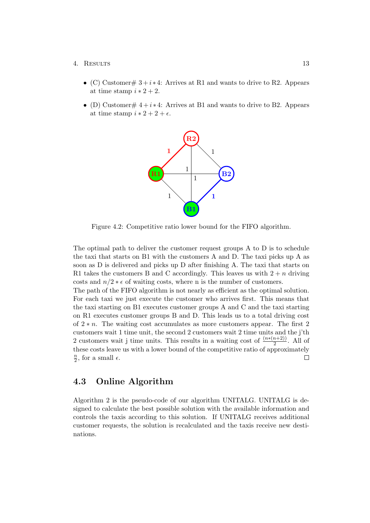- (C) Customer#  $3 + i * 4$ : Arrives at R1 and wants to drive to R2. Appears at time stamp  $i * 2 + 2$ .
- (D) Customer#  $4 + i \cdot 4$ : Arrives at B1 and wants to drive to B2. Appears at time stamp  $i * 2 + 2 + \epsilon$ .



Figure 4.2: Competitive ratio lower bound for the FIFO algorithm.

The optimal path to deliver the customer request groups A to D is to schedule the taxi that starts on B1 with the customers A and D. The taxi picks up A as soon as D is delivered and picks up D after finishing A. The taxi that starts on R1 takes the customers B and C accordingly. This leaves us with  $2 + n$  driving costs and  $n/2 * \epsilon$  of waiting costs, where n is the number of customers.

The path of the FIFO algorithm is not nearly as efficient as the optimal solution. For each taxi we just execute the customer who arrives first. This means that the taxi starting on B1 executes customer groups A and C and the taxi starting on R1 executes customer groups B and D. This leads us to a total driving cost of 2 ∗ n. The waiting cost accumulates as more customers appear. The first 2 customers wait 1 time unit, the second 2 customers wait 2 time units and the j'th 2 customers wait j time units. This results in a waiting cost of  $\frac{(n*(n+2))}{2}$ . All of these costs leave us with a lower bound of the competitive ratio of approximately  $\overline{n}$  $\frac{n}{2}$ , for a small  $\epsilon$ .  $\Box$ 

## <span id="page-15-0"></span>4.3 Online Algorithm

Algorithm 2 is the pseudo-code of our algorithm UNITALG. UNITALG is designed to calculate the best possible solution with the available information and controls the taxis according to this solution. If UNITALG receives additional customer requests, the solution is recalculated and the taxis receive new destinations.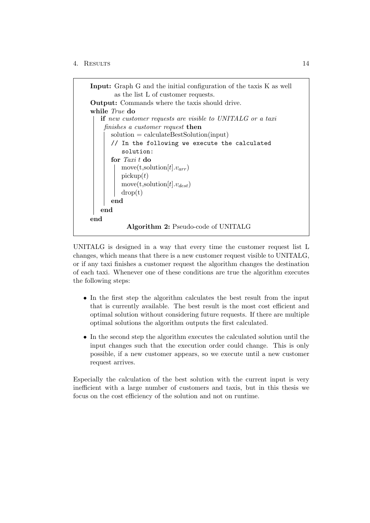

UNITALG is designed in a way that every time the customer request list L changes, which means that there is a new customer request visible to UNITALG, or if any taxi finishes a customer request the algorithm changes the destination of each taxi. Whenever one of these conditions are true the algorithm executes the following steps:

- In the first step the algorithm calculates the best result from the input that is currently available. The best result is the most cost efficient and optimal solution without considering future requests. If there are multiple optimal solutions the algorithm outputs the first calculated.
- In the second step the algorithm executes the calculated solution until the input changes such that the execution order could change. This is only possible, if a new customer appears, so we execute until a new customer request arrives.

Especially the calculation of the best solution with the current input is very inefficient with a large number of customers and taxis, but in this thesis we focus on the cost efficiency of the solution and not on runtime.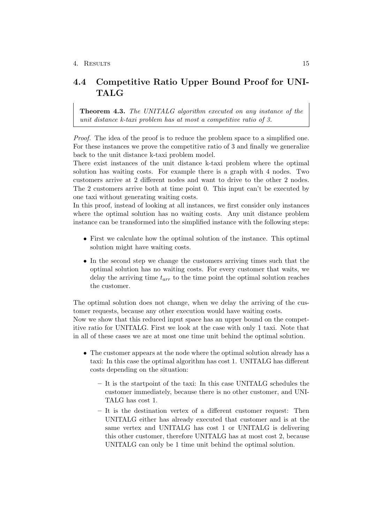## <span id="page-17-0"></span>4.4 Competitive Ratio Upper Bound Proof for UNI-TALG

Theorem 4.3. The UNITALG algorithm executed on any instance of the unit distance k-taxi problem has at most a competitive ratio of 3.

Proof. The idea of the proof is to reduce the problem space to a simplified one. For these instances we prove the competitive ratio of 3 and finally we generalize back to the unit distance k-taxi problem model.

There exist instances of the unit distance k-taxi problem where the optimal solution has waiting costs. For example there is a graph with 4 nodes. Two customers arrive at 2 different nodes and want to drive to the other 2 nodes. The 2 customers arrive both at time point 0. This input can't be executed by one taxi without generating waiting costs.

In this proof, instead of looking at all instances, we first consider only instances where the optimal solution has no waiting costs. Any unit distance problem instance can be transformed into the simplified instance with the following steps:

- First we calculate how the optimal solution of the instance. This optimal solution might have waiting costs.
- In the second step we change the customers arriving times such that the optimal solution has no waiting costs. For every customer that waits, we delay the arriving time  $t_{arr}$  to the time point the optimal solution reaches the customer.

The optimal solution does not change, when we delay the arriving of the customer requests, because any other execution would have waiting costs. Now we show that this reduced input space has an upper bound on the competitive ratio for UNITALG. First we look at the case with only 1 taxi. Note that in all of these cases we are at most one time unit behind the optimal solution.

- The customer appears at the node where the optimal solution already has a taxi: In this case the optimal algorithm has cost 1. UNITALG has different costs depending on the situation:
	- It is the startpoint of the taxi: In this case UNITALG schedules the customer immediately, because there is no other customer, and UNI-TALG has cost 1.
	- It is the destination vertex of a different customer request: Then UNITALG either has already executed that customer and is at the same vertex and UNITALG has cost 1 or UNITALG is delivering this other customer, therefore UNITALG has at most cost 2, because UNITALG can only be 1 time unit behind the optimal solution.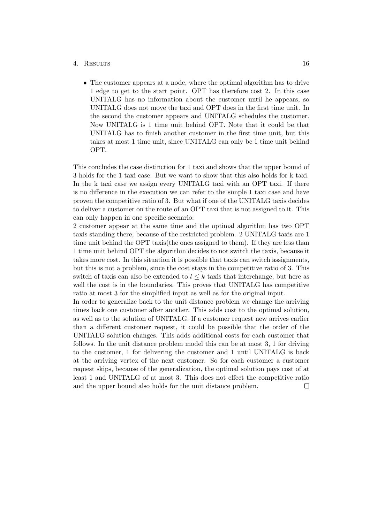• The customer appears at a node, where the optimal algorithm has to drive 1 edge to get to the start point. OPT has therefore cost 2. In this case UNITALG has no information about the customer until he appears, so UNITALG does not move the taxi and OPT does in the first time unit. In the second the customer appears and UNITALG schedules the customer. Now UNITALG is 1 time unit behind OPT. Note that it could be that UNITALG has to finish another customer in the first time unit, but this takes at most 1 time unit, since UNITALG can only be 1 time unit behind OPT.

This concludes the case distinction for 1 taxi and shows that the upper bound of 3 holds for the 1 taxi case. But we want to show that this also holds for k taxi. In the k taxi case we assign every UNITALG taxi with an OPT taxi. If there is no difference in the execution we can refer to the simple 1 taxi case and have proven the competitive ratio of 3. But what if one of the UNITALG taxis decides to deliver a customer on the route of an OPT taxi that is not assigned to it. This can only happen in one specific scenario:

2 customer appear at the same time and the optimal algorithm has two OPT taxis standing there, because of the restricted problem. 2 UNITALG taxis are 1 time unit behind the OPT taxis(the ones assigned to them). If they are less than 1 time unit behind OPT the algorithm decides to not switch the taxis, because it takes more cost. In this situation it is possible that taxis can switch assignments, but this is not a problem, since the cost stays in the competitive ratio of 3. This switch of taxis can also be extended to  $l \leq k$  taxis that interchange, but here as well the cost is in the boundaries. This proves that UNITALG has competitive ratio at most 3 for the simplified input as well as for the original input.

In order to generalize back to the unit distance problem we change the arriving times back one customer after another. This adds cost to the optimal solution, as well as to the solution of UNITALG. If a customer request new arrives earlier than a different customer request, it could be possible that the order of the UNITALG solution changes. This adds additional costs for each customer that follows. In the unit distance problem model this can be at most 3, 1 for driving to the customer, 1 for delivering the customer and 1 until UNITALG is back at the arriving vertex of the next customer. So for each customer a customer request skips, because of the generalization, the optimal solution pays cost of at least 1 and UNITALG of at most 3. This does not effect the competitive ratio and the upper bound also holds for the unit distance problem. $\Box$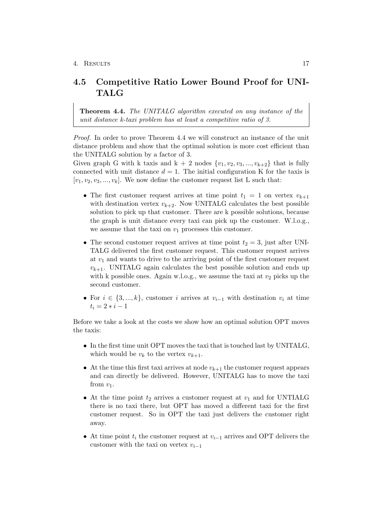## <span id="page-19-0"></span>4.5 Competitive Ratio Lower Bound Proof for UNI-TALG

Theorem 4.4. The UNITALG algorithm executed on any instance of the unit distance k-taxi problem has at least a competitive ratio of 3.

Proof. In order to prove Theorem 4.4 we will construct an instance of the unit distance problem and show that the optimal solution is more cost efficient than the UNITALG solution by a factor of 3.

Given graph G with k taxis and  $k + 2$  nodes  $\{v_1, v_2, v_3, ..., v_{k+2}\}\)$  that is fully connected with unit distance  $d = 1$ . The initial configuration K for the taxis is  $[v_1, v_2, v_3, ..., v_k]$ . We now define the customer request list L such that:

- The first customer request arrives at time point  $t_1 = 1$  on vertex  $v_{k+1}$ with destination vertex  $v_{k+2}$ . Now UNITALG calculates the best possible solution to pick up that customer. There are k possible solutions, because the graph is unit distance every taxi can pick up the customer. W.l.o.g., we assume that the taxi on  $v_1$  processes this customer.
- The second customer request arrives at time point  $t_2 = 3$ , just after UNI-TALG delivered the first customer request. This customer request arrives at  $v_1$  and wants to drive to the arriving point of the first customer request  $v_{k+1}$ . UNITALG again calculates the best possible solution and ends up with k possible ones. Again w.l.o.g., we assume the taxi at  $v_2$  picks up the second customer.
- For  $i \in \{3, ..., k\}$ , customer i arrives at  $v_{i-1}$  with destination  $v_i$  at time  $t_i = 2 * i - 1$

Before we take a look at the costs we show how an optimal solution OPT moves the taxis:

- In the first time unit OPT moves the taxi that is touched last by UNITALG, which would be  $v_k$  to the vertex  $v_{k+1}$ .
- At the time this first taxi arrives at node  $v_{k+1}$  the customer request appears and can directly be delivered. However, UNITALG has to move the taxi from  $v_1$ .
- At the time point  $t_2$  arrives a customer request at  $v_1$  and for UNTIALG there is no taxi there, but OPT has moved a different taxi for the first customer request. So in OPT the taxi just delivers the customer right away.
- At time point  $t_i$  the customer request at  $v_{i-1}$  arrives and OPT delivers the customer with the taxi on vertex  $v_{i-1}$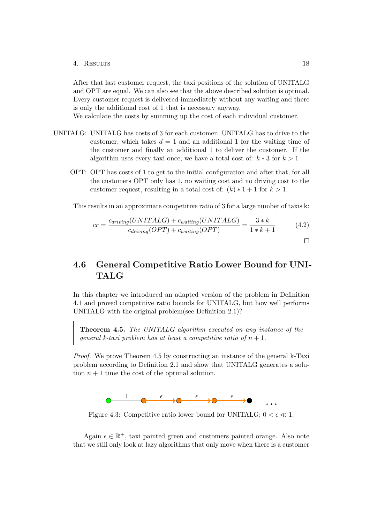After that last customer request, the taxi positions of the solution of UNITALG and OPT are equal. We can also see that the above described solution is optimal. Every customer request is delivered immediately without any waiting and there is only the additional cost of 1 that is necessary anyway.

We calculate the costs by summing up the cost of each individual customer.

- UNITALG: UNITALG has costs of 3 for each customer. UNITALG has to drive to the customer, which takes  $d = 1$  and an additional 1 for the waiting time of the customer and finally an additional 1 to deliver the customer. If the algorithm uses every taxi once, we have a total cost of:  $k * 3$  for  $k > 1$ 
	- OPT: OPT has costs of 1 to get to the initial configuration and after that, for all the customers OPT only has 1, no waiting cost and no driving cost to the customer request, resulting in a total cost of:  $(k) * 1 + 1$  for  $k > 1$ .

This results in an approximate competitive ratio of 3 for a large number of taxis k:

$$
cr = \frac{c_{driving}(UNITALG) + c_{waiting}(UNITALG)}{c_{driving}(OPT) + c_{waiting}(OPT)} = \frac{3*k}{1*k + 1}
$$
(4.2)

## <span id="page-20-0"></span>4.6 General Competitive Ratio Lower Bound for UNI-TALG

In this chapter we introduced an adapted version of the problem in Definition 4.1 and proved competitive ratio bounds for UNITALG, but how well performs UNITALG with the original problem(see Definition 2.1)?

Theorem 4.5. The UNITALG algorithm executed on any instance of the general k-taxi problem has at least a competitive ratio of  $n + 1$ .

Proof. We prove Theorem 4.5 by constructing an instance of the general k-Taxi problem according to Definition 2.1 and show that UNITALG generates a solution  $n + 1$  time the cost of the optimal solution.



Figure 4.3: Competitive ratio lower bound for UNITALG;  $0 < \epsilon \ll 1$ .

Again  $\epsilon \in \mathbb{R}^+$ , taxi painted green and customers painted orange. Also note that we still only look at lazy algorithms that only move when there is a customer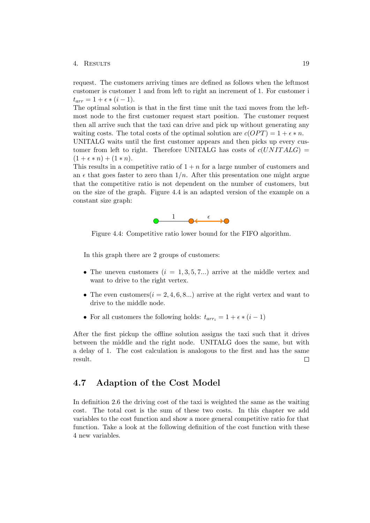request. The customers arriving times are defined as follows when the leftmost customer is customer 1 and from left to right an increment of 1. For customer i  $t_{arr} = 1 + \epsilon * (i - 1).$ 

The optimal solution is that in the first time unit the taxi moves from the leftmost node to the first customer request start position. The customer request then all arrive such that the taxi can drive and pick up without generating any waiting costs. The total costs of the optimal solution are  $c(OPT) = 1 + \epsilon * n$ . UNITALG waits until the first customer appears and then picks up every customer from left to right. Therefore UNITALG has costs of  $c(UNITALG)$  $(1 + \epsilon * n) + (1 * n).$ 

This results in a competitive ratio of  $1 + n$  for a large number of customers and an  $\epsilon$  that goes faster to zero than  $1/n$ . After this presentation one might argue that the competitive ratio is not dependent on the number of customers, but on the size of the graph. Figure 4.4 is an adapted version of the example on a constant size graph:



Figure 4.4: Competitive ratio lower bound for the FIFO algorithm.

In this graph there are 2 groups of customers:

- The uneven customers  $(i = 1, 3, 5, 7...)$  arrive at the middle vertex and want to drive to the right vertex.
- The even customers  $(i = 2, 4, 6, 8...)$  arrive at the right vertex and want to drive to the middle node.
- For all customers the following holds:  $t_{arr_i} = 1 + \epsilon * (i 1)$

After the first pickup the offline solution assigns the taxi such that it drives between the middle and the right node. UNITALG does the same, but with a delay of 1. The cost calculation is analogous to the first and has the same result.  $\Box$ 

### <span id="page-21-0"></span>4.7 Adaption of the Cost Model

In definition 2.6 the driving cost of the taxi is weighted the same as the waiting cost. The total cost is the sum of these two costs. In this chapter we add variables to the cost function and show a more general competitive ratio for that function. Take a look at the following definition of the cost function with these 4 new variables.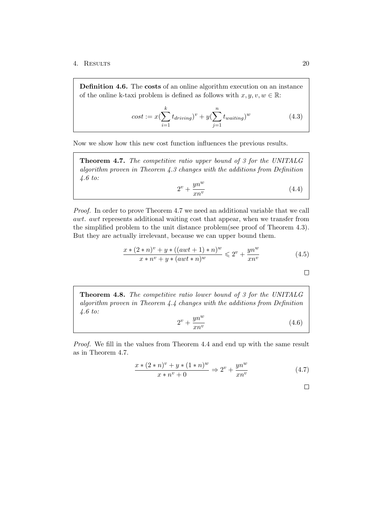Definition 4.6. The costs of an online algorithm execution on an instance of the online k-taxi problem is defined as follows with  $x, y, v, w \in \mathbb{R}$ :

$$
cost := x(\sum_{i=1}^{k} t_{driving})^v + y(\sum_{j=1}^{n} t_{waiting})^w
$$
\n(4.3)

Now we show how this new cost function influences the previous results.

Theorem 4.7. The competitive ratio upper bound of 3 for the UNITALG algorithm proven in Theorem 4.3 changes with the additions from Definition 4.6 to:

$$
2^v + \frac{yn^w}{xn^v} \tag{4.4}
$$

Proof. In order to prove Theorem 4.7 we need an additional variable that we call awt. awt represents additional waiting cost that appear, when we transfer from the simplified problem to the unit distance problem(see proof of Theorem 4.3). But they are actually irrelevant, because we can upper bound them.

$$
\frac{x*(2*n)^{v} + y*((awt+1)*n)^{w}}{x*n^{v} + y*(awt*n)^{w}} \leq 2^{v} + \frac{yn^{w}}{xn^{v}}
$$
\n(4.5)

 $\Box$ 

Theorem 4.8. The competitive ratio lower bound of 3 for the UNITALG algorithm proven in Theorem 4.4 changes with the additions from Definition 4.6 to:  $\overline{w}$ 

$$
2^v + \frac{yn^w}{xn^v} \tag{4.6}
$$

Proof. We fill in the values from Theorem 4.4 and end up with the same result as in Theorem 4.7.

$$
\frac{x * (2 * n)^{v} + y * (1 * n)^{w}}{x * n^{v} + 0} \Rightarrow 2^{v} + \frac{yn^{w}}{xn^{v}}
$$
(4.7)

 $\Box$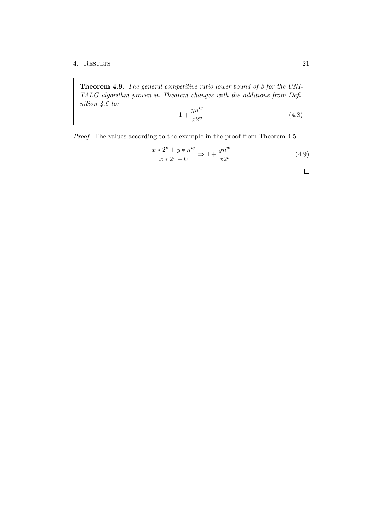Theorem 4.9. The general competitive ratio lower bound of 3 for the UNI-TALG algorithm proven in Theorem changes with the additions from Definition 4.6 to:

$$
1 + \frac{yn^w}{x2^v} \tag{4.8}
$$

Proof. The values according to the example in the proof from Theorem 4.5.

$$
\frac{x * 2^v + y * n^w}{x * 2^v + 0} \Rightarrow 1 + \frac{yn^w}{x2^v}
$$
\n(4.9)

 $\Box$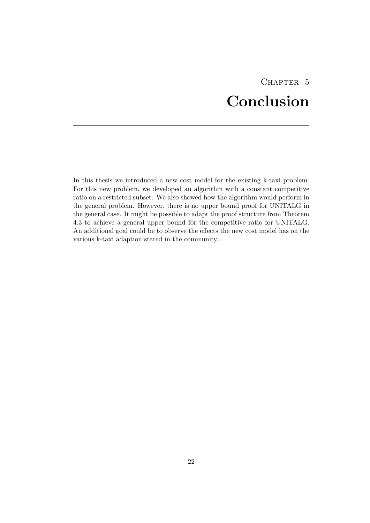# CHAPTER 5 Conclusion

<span id="page-24-0"></span>In this thesis we introduced a new cost model for the existing k-taxi problem. For this new problem, we developed an algorithm with a constant competitive ratio on a restricted subset. We also showed how the algorithm would perform in the general problem. However, there is no upper bound proof for UNITALG in the general case. It might be possible to adapt the proof structure from Theorem 4.3 to achieve a general upper bound for the competitive ratio for UNITALG. An additional goal could be to observe the effects the new cost model has on the various k-taxi adaption stated in the community.